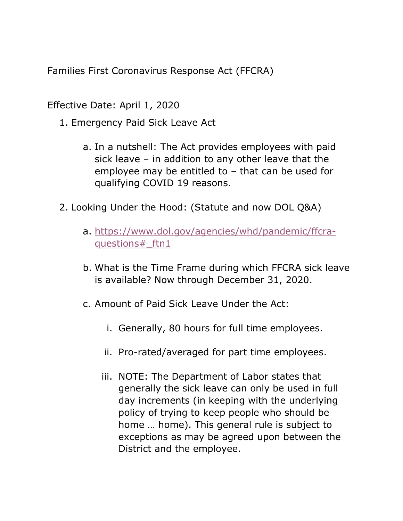Families First Coronavirus Response Act (FFCRA)

Effective Date: April 1, 2020

- 1. Emergency Paid Sick Leave Act
	- a. In a nutshell: The Act provides employees with paid sick leave – in addition to any other leave that the employee may be entitled to – that can be used for qualifying COVID 19 reasons.
- 2. Looking Under the Hood: (Statute and now DOL Q&A)
	- a. https://www.dol.gov/agencies/whd/pandemic/ffcraquestions#\_ftn1
	- b. What is the Time Frame during which FFCRA sick leave is available? Now through December 31, 2020.
	- c. Amount of Paid Sick Leave Under the Act:
		- i. Generally, 80 hours for full time employees.
		- ii. Pro-rated/averaged for part time employees.
		- iii. NOTE: The Department of Labor states that generally the sick leave can only be used in full day increments (in keeping with the underlying policy of trying to keep people who should be home … home). This general rule is subject to exceptions as may be agreed upon between the District and the employee.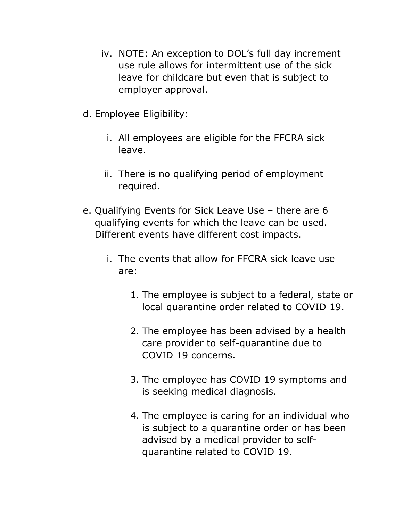- iv. NOTE: An exception to DOL's full day increment use rule allows for intermittent use of the sick leave for childcare but even that is subject to employer approval.
- d. Employee Eligibility:
	- i. All employees are eligible for the FFCRA sick leave.
	- ii. There is no qualifying period of employment required.
- e. Qualifying Events for Sick Leave Use there are 6 qualifying events for which the leave can be used. Different events have different cost impacts.
	- i. The events that allow for FFCRA sick leave use are:
		- 1. The employee is subject to a federal, state or local quarantine order related to COVID 19.
		- 2. The employee has been advised by a health care provider to self-quarantine due to COVID 19 concerns.
		- 3. The employee has COVID 19 symptoms and is seeking medical diagnosis.
		- 4. The employee is caring for an individual who is subject to a quarantine order or has been advised by a medical provider to selfquarantine related to COVID 19.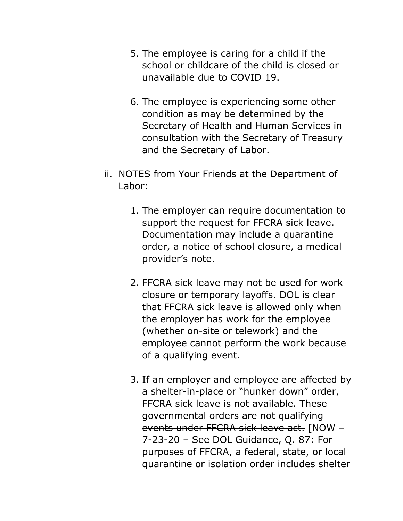- 5. The employee is caring for a child if the school or childcare of the child is closed or unavailable due to COVID 19.
- 6. The employee is experiencing some other condition as may be determined by the Secretary of Health and Human Services in consultation with the Secretary of Treasury and the Secretary of Labor.
- ii. NOTES from Your Friends at the Department of Labor:
	- 1. The employer can require documentation to support the request for FFCRA sick leave. Documentation may include a quarantine order, a notice of school closure, a medical provider's note.
	- 2. FFCRA sick leave may not be used for work closure or temporary layoffs. DOL is clear that FFCRA sick leave is allowed only when the employer has work for the employee (whether on-site or telework) and the employee cannot perform the work because of a qualifying event.
	- 3. If an employer and employee are affected by a shelter-in-place or "hunker down" order, FFCRA sick leave is not available. These governmental orders are not qualifying events under FFCRA sick leave act. [NOW – 7-23-20 – See DOL Guidance, Q. 87: For purposes of FFCRA, a federal, state, or local quarantine or isolation order includes shelter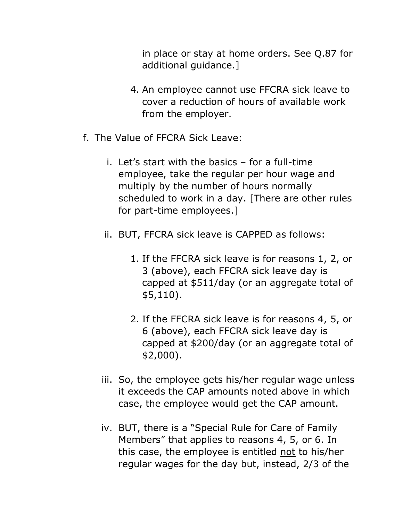in place or stay at home orders. See Q.87 for additional guidance.]

- 4. An employee cannot use FFCRA sick leave to cover a reduction of hours of available work from the employer.
- f. The Value of FFCRA Sick Leave:
	- i. Let's start with the basics for a full-time employee, take the regular per hour wage and multiply by the number of hours normally scheduled to work in a day. [There are other rules for part-time employees.]
	- ii. BUT, FFCRA sick leave is CAPPED as follows:
		- 1. If the FFCRA sick leave is for reasons 1, 2, or 3 (above), each FFCRA sick leave day is capped at \$511/day (or an aggregate total of \$5,110).
		- 2. If the FFCRA sick leave is for reasons 4, 5, or 6 (above), each FFCRA sick leave day is capped at \$200/day (or an aggregate total of \$2,000).
	- iii. So, the employee gets his/her regular wage unless it exceeds the CAP amounts noted above in which case, the employee would get the CAP amount.
	- iv. BUT, there is a "Special Rule for Care of Family Members" that applies to reasons 4, 5, or 6. In this case, the employee is entitled not to his/her regular wages for the day but, instead, 2/3 of the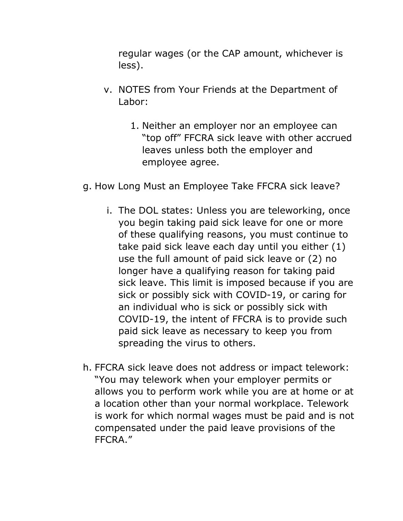regular wages (or the CAP amount, whichever is less).

- v. NOTES from Your Friends at the Department of Labor:
	- 1. Neither an employer nor an employee can "top off" FFCRA sick leave with other accrued leaves unless both the employer and employee agree.
- g. How Long Must an Employee Take FFCRA sick leave?
	- i. The DOL states: Unless you are teleworking, once you begin taking paid sick leave for one or more of these qualifying reasons, you must continue to take paid sick leave each day until you either (1) use the full amount of paid sick leave or (2) no longer have a qualifying reason for taking paid sick leave. This limit is imposed because if you are sick or possibly sick with COVID-19, or caring for an individual who is sick or possibly sick with COVID-19, the intent of FFCRA is to provide such paid sick leave as necessary to keep you from spreading the virus to others.
- h. FFCRA sick leave does not address or impact telework: "You may telework when your employer permits or allows you to perform work while you are at home or at a location other than your normal workplace. Telework is work for which normal wages must be paid and is not compensated under the paid leave provisions of the FFCRA."